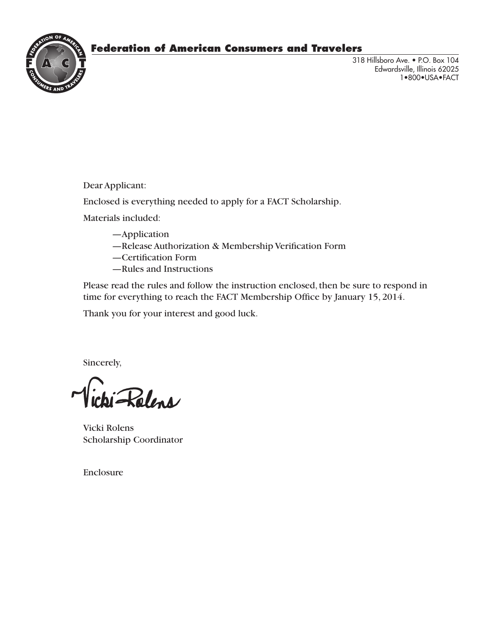## **Federation of American Consumers and Travelers**



318 Hillsboro Ave. • P.O. Box 104 Edwardsville, Illinois 62025 1•800•USA•FACT

Dear Applicant:

Enclosed is everything needed to apply for a FACT Scholarship.

Materials included:

- —Application
- —Release Authorization & Membership Verification Form
- —Certification Form
- —Rules and Instructions

Please read the rules and follow the instruction enclosed, then be sure to respond in time for everything to reach the FACT Membership Office by January 15, 2014.

Thank you for your interest and good luck.

Sincerely,

Rolens

Vicki Rolens Scholarship Coordinator

Enclosure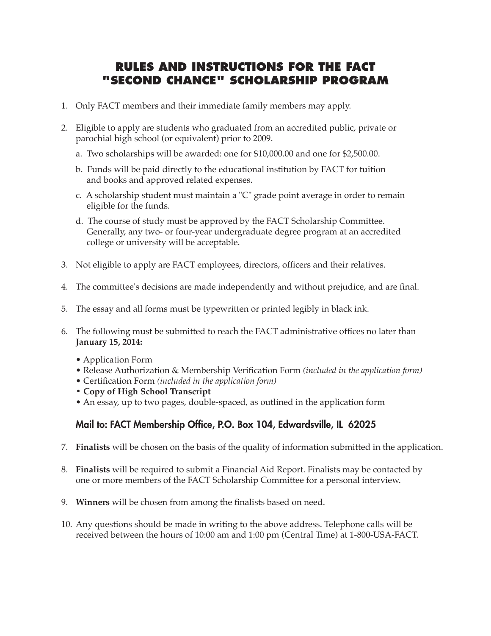## **RULES AND INSTRUCTIONS FOR THE FACT "SECOND CHANCE" SCHOLARSHIP PROGRAM**

- 1. Only FACT members and their immediate family members may apply.
- 2. Eligible to apply are students who graduated from an accredited public, private or parochial high school (or equivalent) prior to 2009.
	- a. Two scholarships will be awarded: one for \$10,000.00 and one for \$2,500.00.
	- b. Funds will be paid directly to the educational institution by FACT for tuition and books and approved related expenses.
	- c. A scholarship student must maintain a "C" grade point average in order to remain eligible for the funds.
	- d. The course of study must be approved by the FACT Scholarship Committee. Generally, any two- or four-year undergraduate degree program at an accredited college or university will be acceptable.
- 3. Not eligible to apply are FACT employees, directors, officers and their relatives.
- 4. The committee's decisions are made independently and without prejudice, and are final.
- 5. The essay and all forms must be typewritten or printed legibly in black ink.
- 6. The following must be submitted to reach the FACT administrative offices no later than **January 15, 2014:**
	- Application Form
	- Release Authorization & Membership Verification Form *(included in the application form)*
	- Certification Form *(included in the application form)*
	- **Copy of High School Transcript**
	- An essay, up to two pages, double-spaced, as outlined in the application form

### Mail to: FACT Membership Office, P.O. Box 104, Edwardsville, IL 62025

- 7. **Finalists** will be chosen on the basis of the quality of information submitted in the application.
- 8. **Finalists** will be required to submit a Financial Aid Report. Finalists may be contacted by one or more members of the FACT Scholarship Committee for a personal interview.
- 9. **Winners** will be chosen from among the finalists based on need.
- 10. Any questions should be made in writing to the above address. Telephone calls will be received between the hours of 10:00 am and 1:00 pm (Central Time) at 1-800-USA-FACT.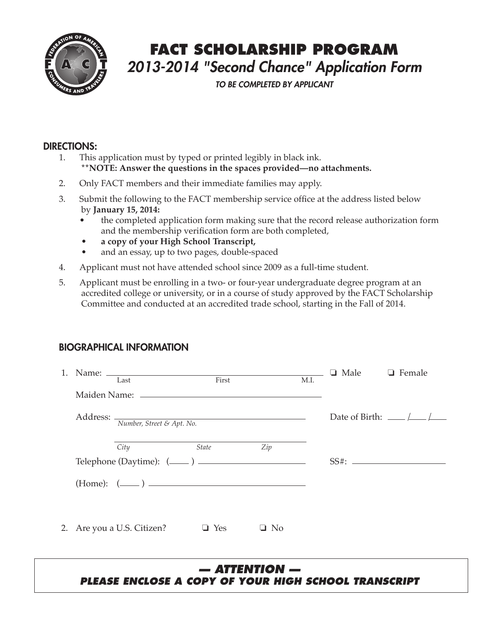

## **FACT SCHOLARSHIP PROGRAM** *2013-2014 "Second Chance" Application Form*

*TO BE COMPLETED BY APPLICANT*

#### DIRECTIONS:

- 1. This application must by typed or printed legibly in black ink. **\*\*NOTE: Answer the questions in the spaces provided—no attachments.**
- 2. Only FACT members and their immediate families may apply.
- 3. Submit the following to the FACT membership service office at the address listed below by **January 15, 2014:**
	- the completed application form making sure that the record release authorization form and the membership verification form are both completed,
	- **a copy of your High School Transcript,**
	- and an essay, up to two pages, double-spaced
- 4. Applicant must not have attended school since 2009 as a full-time student.
- 5. Applicant must be enrolling in a two- or four-year undergraduate degree program at an accredited college or university, or in a course of study approved by the FACT Scholarship Committee and conducted at an accredited trade school, starting in the Fall of 2014.

### BIOGRAPHICAL INFORMATION

| 1. | Last                               | First        |           | M.I. | $\Box$ Male $\Box$ Female |                                                     |
|----|------------------------------------|--------------|-----------|------|---------------------------|-----------------------------------------------------|
|    |                                    |              |           |      |                           |                                                     |
|    | Address: Wumber, Street & Apt. No. |              |           |      |                           | Date of Birth: $\_\_\_\_\_\_\_\_\_\_\_\_\_\_\_\_\_$ |
|    | City                               | <b>State</b> | Zip       |      |                           |                                                     |
|    | Telephone (Daytime): $(\_\_\_\_$ ) |              |           |      |                           |                                                     |
|    | $(Home):$ $(\_\_)$                 |              |           |      |                           |                                                     |
|    |                                    |              |           |      |                           |                                                     |
|    | 2. Are you a U.S. Citizen?         | $\Box$ Yes   | $\Box$ No |      |                           |                                                     |
|    |                                    |              |           |      |                           |                                                     |

#### *— ATTENTION — PLEASE ENCLOSE A COPY OF YOUR HIGH SCHOOL TRANSCRIPT*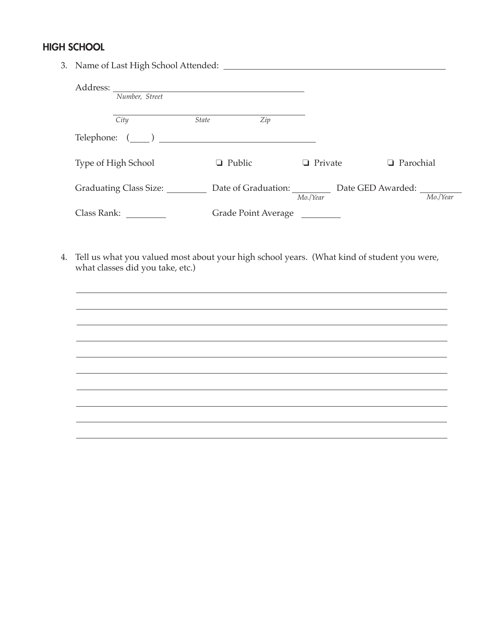## HIGH SCHOOL

|  | Number, Street         |              |                     |              |                                       |                  |
|--|------------------------|--------------|---------------------|--------------|---------------------------------------|------------------|
|  | City                   | <i>State</i> | Zip                 |              |                                       |                  |
|  | Telephone: $(\_\_)$    |              |                     |              |                                       |                  |
|  | Type of High School    | Public<br>ப  |                     | Private<br>ப |                                       | $\Box$ Parochial |
|  | Graduating Class Size: |              |                     | Mo./Year     | Date of Graduation: Date GED Awarded: | Mo./Year         |
|  | Class Rank:            |              | Grade Point Average |              |                                       |                  |

4. Tell us what you valued most about your high school years. (What kind of student you were, what classes did you take, etc.)

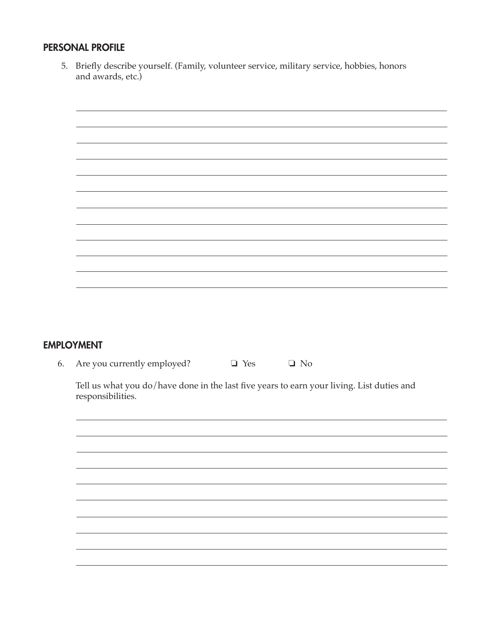#### PERSONAL PROFILE

5. Briefly describe yourself. (Family, volunteer service, military service, hobbies, honors and awards, etc.)



### EMPLOYMENT

6. Are you currently employed?  $\Box$  Yes  $\Box$  No

Tell us what you do/have done in the last five years to earn your living. List duties and responsibilities.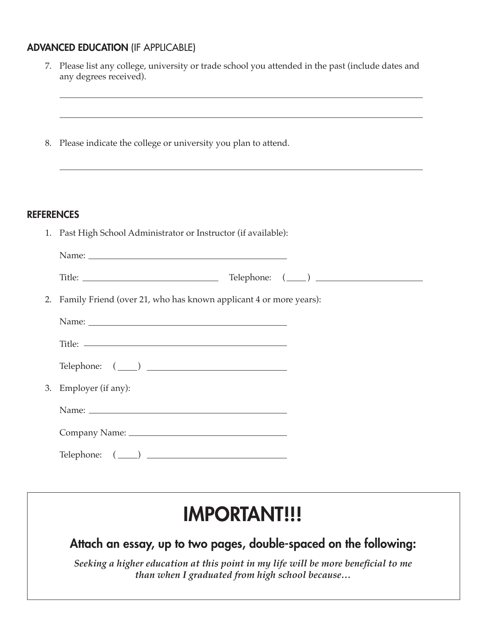## ADVANCED EDUCATION (IF APPLICABLE)

| 7.                | Please list any college, university or trade school you attended in the past (include dates and<br>any degrees received).                         |
|-------------------|---------------------------------------------------------------------------------------------------------------------------------------------------|
| 8.                | Please indicate the college or university you plan to attend.<br>,我们也不会有什么。""我们的人,我们也不会有什么?""我们的人,我们也不会有什么?""我们的人,我们也不会有什么?""我们的人,我们也不会有什么?""我们的人 |
| <b>REFERENCES</b> |                                                                                                                                                   |
|                   | 1. Past High School Administrator or Instructor (if available):                                                                                   |
|                   |                                                                                                                                                   |
|                   |                                                                                                                                                   |
|                   | 2. Family Friend (over 21, who has known applicant 4 or more years):                                                                              |
|                   |                                                                                                                                                   |
|                   |                                                                                                                                                   |
|                   | $\begin{tabular}{ll} \textbf{Telephone:} & \textbf{________} \\ \hline \end{tabular}$                                                             |
|                   | 3. Employer (if any):                                                                                                                             |
|                   |                                                                                                                                                   |
|                   |                                                                                                                                                   |
|                   |                                                                                                                                                   |
|                   |                                                                                                                                                   |
|                   |                                                                                                                                                   |

# IMPORTANT!!!

Attach an essay, up to two pages, double-spaced on the following:

*Seeking a higher education at this point in my life will be more beneficial to me than when I graduated from high school because…*